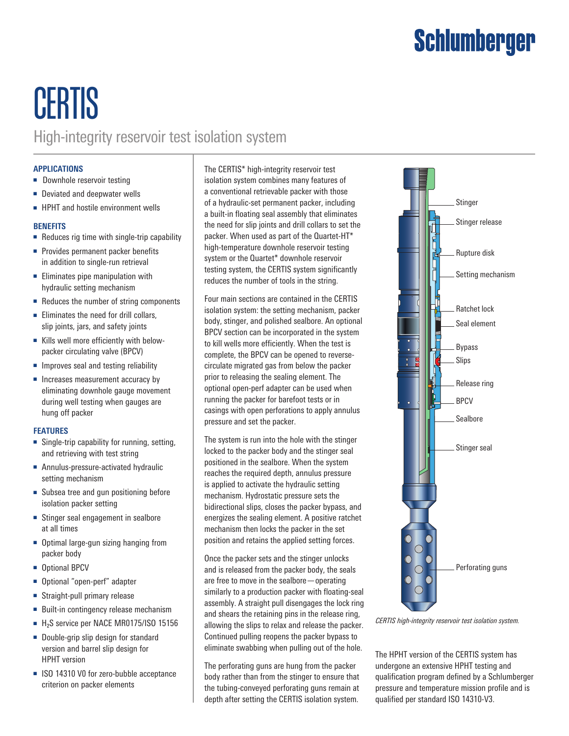# Schlumberger

### **CERTIS** High-integrity reservoir test isolation system

### **APPLICATIONS**

- Downhole reservoir testing
- Deviated and deepwater wells
- HPHT and hostile environment wells

### **BENEFITS**

- Reduces rig time with single-trip capability
- Provides permanent packer benefits in addition to single-run retrieval
- Eliminates pipe manipulation with hydraulic setting mechanism
- Reduces the number of string components
- Eliminates the need for drill collars, slip joints, jars, and safety joints
- Kills well more efficiently with belowpacker circulating valve (BPCV)
- Improves seal and testing reliability
- Increases measurement accuracy by eliminating downhole gauge movement during well testing when gauges are hung off packer

#### **FEATURES**

- Single-trip capability for running, setting, and retrieving with test string
- Annulus-pressure-activated hydraulic setting mechanism
- Subsea tree and gun positioning before isolation packer setting
- Stinger seal engagement in sealbore at all times
- Optimal large-gun sizing hanging from packer body
- Optional BPCV
- Optional "open-perf" adapter
- Straight-pull primary release
- Built-in contingency release mechanism
- H<sub>2</sub>S service per NACE MR0175/ISO 15156
- Double-grip slip design for standard version and barrel slip design for HPHT version
- ISO 14310 V0 for zero-bubble acceptance criterion on packer elements

The CERTIS\* high-integrity reservoir test isolation system combines many features of a conventional retrievable packer with those of a hydraulic-set permanent packer, including a built-in floating seal assembly that eliminates the need for slip joints and drill collars to set the packer. When used as part of the Quartet-HT\* high-temperature downhole reservoir testing system or the Quartet\* downhole reservoir testing system, the CERTIS system significantly reduces the number of tools in the string.

Four main sections are contained in the CERTIS isolation system: the setting mechanism, packer body, stinger, and polished sealbore. An optional BPCV section can be incorporated in the system to kill wells more efficiently. When the test is complete, the BPCV can be opened to reversecirculate migrated gas from below the packer prior to releasing the sealing element. The optional open-perf adapter can be used when running the packer for barefoot tests or in casings with open perforations to apply annulus pressure and set the packer.

The system is run into the hole with the stinger locked to the packer body and the stinger seal positioned in the sealbore. When the system reaches the required depth, annulus pressure is applied to activate the hydraulic setting mechanism. Hydrostatic pressure sets the bidirectional slips, closes the packer bypass, and energizes the sealing element. A positive ratchet mechanism then locks the packer in the set position and retains the applied setting forces.

Once the packer sets and the stinger unlocks and is released from the packer body, the seals are free to move in the sealbore—operating similarly to a production packer with floating-seal assembly. A straight pull disengages the lock ring and shears the retaining pins in the release ring, allowing the slips to relax and release the packer. Continued pulling reopens the packer bypass to eliminate swabbing when pulling out of the hole.

The perforating guns are hung from the packer body rather than from the stinger to ensure that the tubing-conveyed perforating guns remain at depth after setting the CERTIS isolation system.



*CERTIS high-integrity reservoir test isolation system.*

The HPHT version of the CERTIS system has undergone an extensive HPHT testing and qualification program defined by a Schlumberger pressure and temperature mission profile and is qualified per standard ISO 14310-V3.